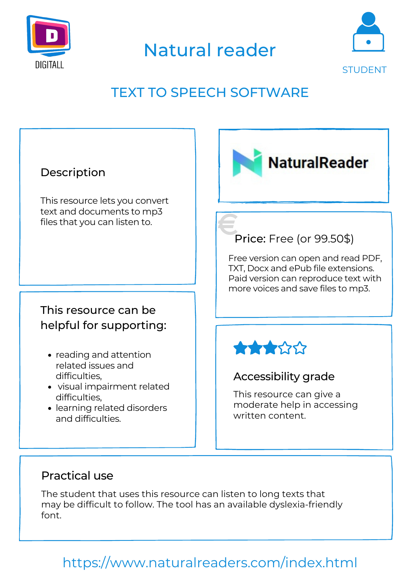STUDENT



# Natural reader



## <https://www.naturalreaders.com/index.html>

#### Accessibility grade

This resource can give a moderate help in accessing written content.

This resource lets you convert text and documents to mp3 files that you can listen to.

#### Practical use

- reading and attention related issues and difficulties,
- visual impairment related difficulties,
- learning related disorders and difficulties.



The student that uses this resource can listen to long texts that may be difficult to follow. The tool has an available dyslexia-friendly font.

### This resource can be helpful for supporting:



### Price: Free (or 99.50\$)

## TEXT TO SPEECH SOFTWARE

#### **Description**

Free version can open and read PDF, TXT, Docx and ePub file extensions. Paid version can reproduce text with more voices and save files to mp3.